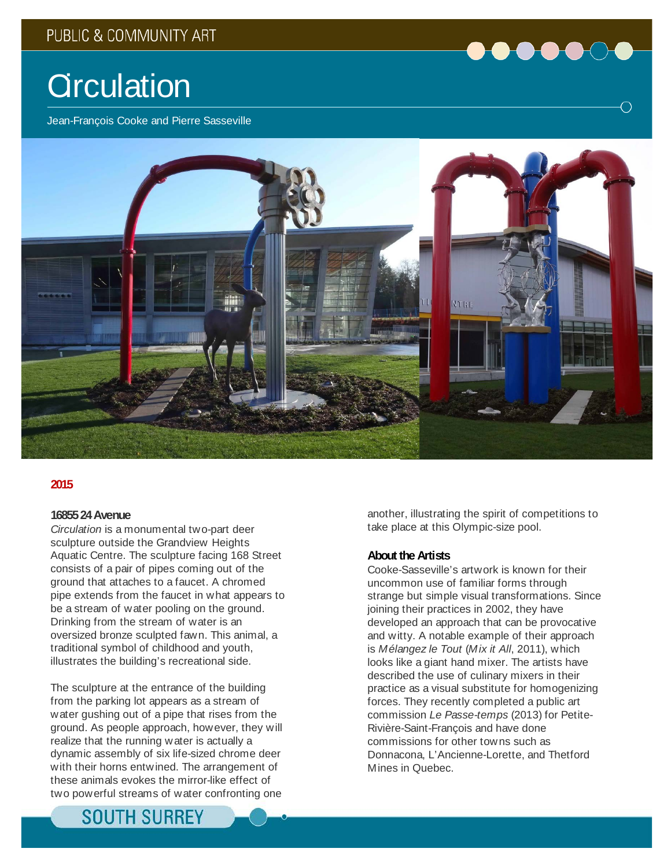

# **Circulation**

Jean-François Cooke and Pierre Sasseville



### **2015**

### **16855 24 Avenue**

*Circulation* is a monumental two-part deer sculpture outside the Grandview Heights Aquatic Centre. The sculpture facing 168 Street consists of a pair of pipes coming out of the ground that attaches to a faucet. A chromed pipe extends from the faucet in what appears to be a stream of water pooling on the ground. Drinking from the stream of water is an oversized bronze sculpted fawn. This animal, a traditional symbol of childhood and youth, illustrates the building's recreational side.

The sculpture at the entrance of the building from the parking lot appears as a stream of water gushing out of a pipe that rises from the ground. As people approach, however, they will realize that the running water is actually a dynamic assembly of six life-sized chrome deer with their horns entwined. The arrangement of these animals evokes the mirror-like effect of two powerful streams of water confronting one

another, illustrating the spirit of competitions to take place at this Olympic-size pool.

#### **About the Artists**

Cooke-Sasseville's artwork is known for their uncommon use of familiar forms through strange but simple visual transformations. Since joining their practices in 2002, they have developed an approach that can be provocative and witty. A notable example of their approach is *Mélangez le Tout* (*Mix it All*, 2011), which looks like a giant hand mixer. The artists have described the use of culinary mixers in their practice as a visual substitute for homogenizing forces. They recently completed a public art commission *Le Passe-temps* (2013) for Petite-Rivière-Saint-François and have done commissions for other towns such as Donnacona, L'Ancienne-Lorette, and Thetford Mines in Quebec.

## **SOUTH SURREY**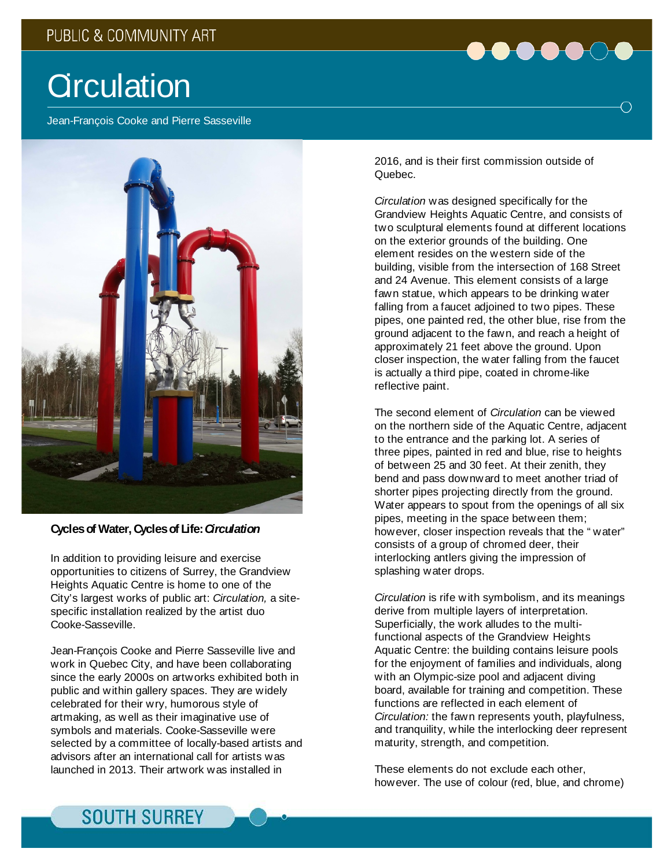

Jean-François Cooke and Pierre Sasseville



### **Cycles of Water, Cycles of Life:** *Circulation*

In addition to providing leisure and exercise opportunities to citizens of Surrey, the Grandview Heights Aquatic Centre is home to one of the City's largest works of public art: *Circulation,* a sitespecific installation realized by the artist duo Cooke-Sasseville.

Jean-François Cooke and Pierre Sasseville live and work in Quebec City, and have been collaborating since the early 2000s on artworks exhibited both in public and within gallery spaces. They are widely celebrated for their wry, humorous style of artmaking, as well as their imaginative use of symbols and materials. Cooke-Sasseville were selected by a committee of locally-based artists and advisors after an international call for artists was launched in 2013. Their artwork was installed in

2016, and is their first commission outside of Quebec.

*Circulation* was designed specifically for the Grandview Heights Aquatic Centre, and consists of two sculptural elements found at different locations on the exterior grounds of the building. One element resides on the western side of the building, visible from the intersection of 168 Street and 24 Avenue. This element consists of a large fawn statue, which appears to be drinking water falling from a faucet adjoined to two pipes. These pipes, one painted red, the other blue, rise from the ground adjacent to the fawn, and reach a height of approximately 21 feet above the ground. Upon closer inspection, the water falling from the faucet is actually a third pipe, coated in chrome-like reflective paint.

The second element of *Circulation* can be viewed on the northern side of the Aquatic Centre, adjacent to the entrance and the parking lot. A series of three pipes, painted in red and blue, rise to heights of between 25 and 30 feet. At their zenith, they bend and pass downward to meet another triad of shorter pipes projecting directly from the ground. Water appears to spout from the openings of all six pipes, meeting in the space between them; however, closer inspection reveals that the " water" consists of a group of chromed deer, their interlocking antlers giving the impression of splashing water drops.

*Circulation* is rife with symbolism, and its meanings derive from multiple layers of interpretation. Superficially, the work alludes to the multifunctional aspects of the Grandview Heights Aquatic Centre: the building contains leisure pools for the enjoyment of families and individuals, along with an Olympic-size pool and adjacent diving board, available for training and competition. These functions are reflected in each element of *Circulation:* the fawn represents youth, playfulness, and tranquility, while the interlocking deer represent maturity, strength, and competition.

These elements do not exclude each other, however. The use of colour (red, blue, and chrome)

## **SOUTH SURREY**